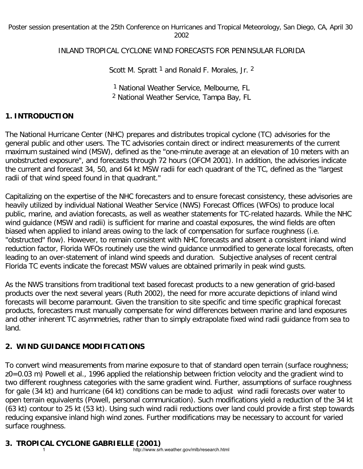Poster session presentation at the 25th Conference on Hurricanes and Tropical Meteorology, San Diego, CA, April 30 2002

INLAND TROPICAL CYCLONE WIND FORECASTS FOR PENINSULAR FLORIDA

Scott M. Spratt<sup>1</sup> and Ronald F. Morales, Jr. <sup>2</sup>

1 National Weather Service, Melbourne, FL 2 National Weather Service, Tampa Bay, FL

## **1. INTRODUCTION**

The National Hurricane Center (NHC) prepares and distributes tropical cyclone (TC) advisories for the general public and other users. The TC advisories contain direct or indirect measurements of the current maximum sustained wind (MSW), defined as the "one-minute average at an elevation of 10 meters with an unobstructed exposure", and forecasts through 72 hours (OFCM 2001). In addition, the advisories indicate the current and forecast 34, 50, and 64 kt MSW radii for each quadrant of the TC, defined as the "largest radii of that wind speed found in that quadrant."

Capitalizing on the expertise of the NHC forecasters and to ensure forecast consistency, these advisories are heavily utilized by individual National Weather Service (NWS) Forecast Offices (WFOs) to produce local public, marine, and aviation forecasts, as well as weather statements for TC-related hazards. While the NHC wind guidance (MSW and radii) is sufficient for marine and coastal exposures, the wind fields are often biased when applied to inland areas owing to the lack of compensation for surface roughness (i.e. "obstructed" flow). However, to remain consistent with NHC forecasts and absent a consistent inland wind reduction factor, Florida WFOs routinely use the wind guidance unmodified to generate local forecasts, often leading to an over-statement of inland wind speeds and duration. Subjective analyses of recent central Florida TC events indicate the forecast MSW values are obtained primarily in peak wind gusts.

As the NWS transitions from traditional text based forecast products to a new generation of grid-based products over the next several years (Ruth 2002), the need for more accurate depictions of inland wind forecasts will become paramount. Given the transition to site specific and time specific graphical forecast products, forecasters must manually compensate for wind differences between marine and land exposures and other inherent TC asymmetries, rather than to simply extrapolate fixed wind radii guidance from sea to land.

## **2. WIND GUIDANCE MODIFICATIONS**

To convert wind measurements from marine exposure to that of standard open terrain (surface roughness; z0=0.03 m) Powell et al., 1996 applied the relationship between friction velocity and the gradient wind to two different roughness categories with the same gradient wind. Further, assumptions of surface roughness for gale (34 kt) and hurricane (64 kt) conditions can be made to adjust wind radii forecasts over water to open terrain equivalents (Powell, personal communication). Such modifications yield a reduction of the 34 kt (63 kt) contour to 25 kt (53 kt). Using such wind radii reductions over land could provide a first step towards reducing expansive inland high wind zones. Further modifications may be necessary to account for varied surface roughness.

## **3. TROPICAL CYCLONE GABRIELLE (2001)**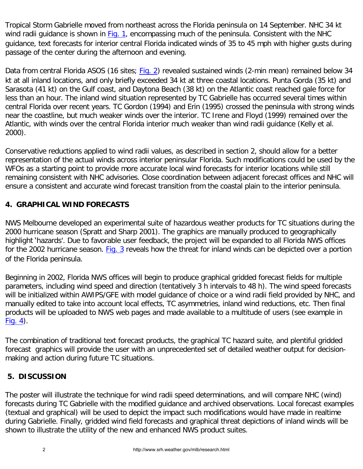Tropical Storm Gabrielle moved from northeast across the Florida peninsula on 14 September. NHC 34 kt wind radii guidance is shown in [Fig. 1,](#page-2-0) encompassing much of the peninsula. Consistent with the NHC guidance, text forecasts for interior central Florida indicated winds of 35 to 45 mph with higher gusts during passage of the center during the afternoon and evening.

Data from central Florida ASOS (16 sites; [Fig. 2](#page-2-1)) revealed sustained winds (2-min mean) remained below 34 kt at all inland locations, and only briefly exceeded 34 kt at three coastal locations. Punta Gorda (35 kt) and Sarasota (41 kt) on the Gulf coast, and Daytona Beach (38 kt) on the Atlantic coast reached gale force for less than an hour. The inland wind situation represented by TC Gabrielle has occurred several times within central Florida over recent years. TC Gordon (1994) and Erin (1995) crossed the peninsula with strong winds near the coastline, but much weaker winds over the interior. TC Irene and Floyd (1999) remained over the Atlantic, with winds over the central Florida interior much weaker than wind radii guidance (Kelly et al. 2000).

Conservative reductions applied to wind radii values, as described in section 2, should allow for a better representation of the actual winds across interior peninsular Florida. Such modifications could be used by the WFOs as a starting point to provide more accurate local wind forecasts for interior locations while still remaining consistent with NHC advisories. Close coordination between adjacent forecast offices and NHC will ensure a consistent and accurate wind forecast transition from the coastal plain to the interior peninsula.

## **4. GRAPHICAL WIND FORECASTS**

NWS Melbourne developed an experimental suite of hazardous weather products for TC situations during the 2000 hurricane season (Spratt and Sharp 2001). The graphics are manually produced to geographically highlight 'hazards'. Due to favorable user feedback, the project will be expanded to all Florida NWS offices for the 2002 hurricane season. [Fig. 3](#page-3-0) reveals how the threat for inland winds can be depicted over a portion of the Florida peninsula.

Beginning in 2002, Florida NWS offices will begin to produce graphical gridded forecast fields for multiple parameters, including wind speed and direction (tentatively 3 h intervals to 48 h). The wind speed forecasts will be initialized within AWIPS/GFE with model guidance of choice or a wind radii field provided by NHC, and manually edited to take into account local effects, TC asymmetries, inland wind reductions, etc. Then final products will be uploaded to NWS web pages and made available to a multitude of users (see example in  $Fig. 4$ ).

The combination of traditional text forecast products, the graphical TC hazard suite, and plentiful gridded forecast graphics will provide the user with an unprecedented set of detailed weather output for decisionmaking and action during future TC situations.

## **5. DISCUSSION**

The poster will illustrate the technique for wind radii speed determinations, and will compare NHC (wind) forecasts during TC Gabrielle with the modified guidance and archived observations. Local forecast examples (textual and graphical) will be used to depict the impact such modifications would have made in realtime during Gabrielle. Finally, gridded wind field forecasts and graphical threat depictions of inland winds will be shown to illustrate the utility of the new and enhanced NWS product suites.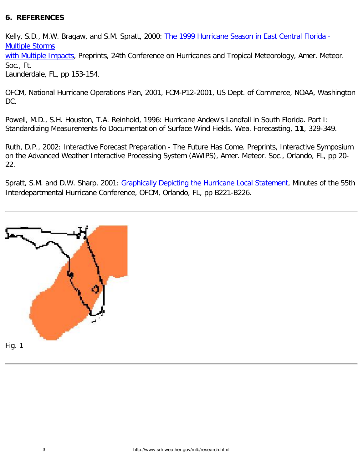## **6. REFERENCES**

Kelly, S.D., M.W. Bragaw, and S.M. Spratt, 2000: [The 1999 Hurricane Season in East Central Florida -](http://www.srh.noaa.gov/mlb/99hurrpp.html)  [Multiple Storms](http://www.srh.noaa.gov/mlb/99hurrpp.html)

[with Multiple Impacts](http://www.srh.noaa.gov/mlb/99hurrpp.html), Preprints, 24th Conference on Hurricanes and Tropical Meteorology, Amer. Meteor. Soc., Ft.

Launderdale, FL, pp 153-154.

OFCM, National Hurricane Operations Plan, 2001, FCM-P12-2001, US Dept. of Commerce, NOAA, Washington DC.

Powell, M.D., S.H. Houston, T.A. Reinhold, 1996: Hurricane Andew's Landfall in South Florida. Part I: Standardizing Measurements fo Documentation of Surface Wind Fields. Wea. Forecasting, **11**, 329-349.

Ruth, D.P., 2002: Interactive Forecast Preparation - The Future Has Come. Preprints, Interactive Symposium on the Advanced Weather Interactive Processing System (AWIPS), Amer. Meteor. Soc., Orlando, FL, pp 20- 22.

Spratt, S.M. and D.W. Sharp, 2001: [Graphically Depicting the Hurricane Local Statement,](http://www.srh.noaa.gov/mlb/sms/ihc55_ghls.html) Minutes of the 55th Interdepartmental Hurricane Conference, OFCM, Orlando, FL, pp B221-B226.

<span id="page-2-1"></span><span id="page-2-0"></span>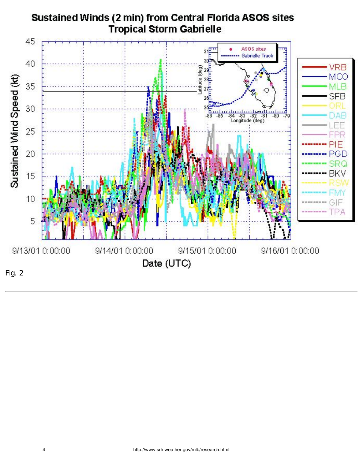<span id="page-3-0"></span>

# Sustained Winds (2 min) from Central Florida ASOS sites **Tropical Storm Gabrielle**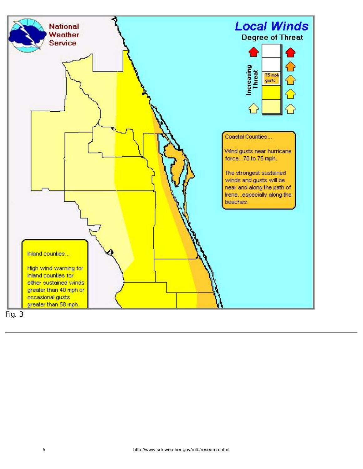

<span id="page-4-0"></span>